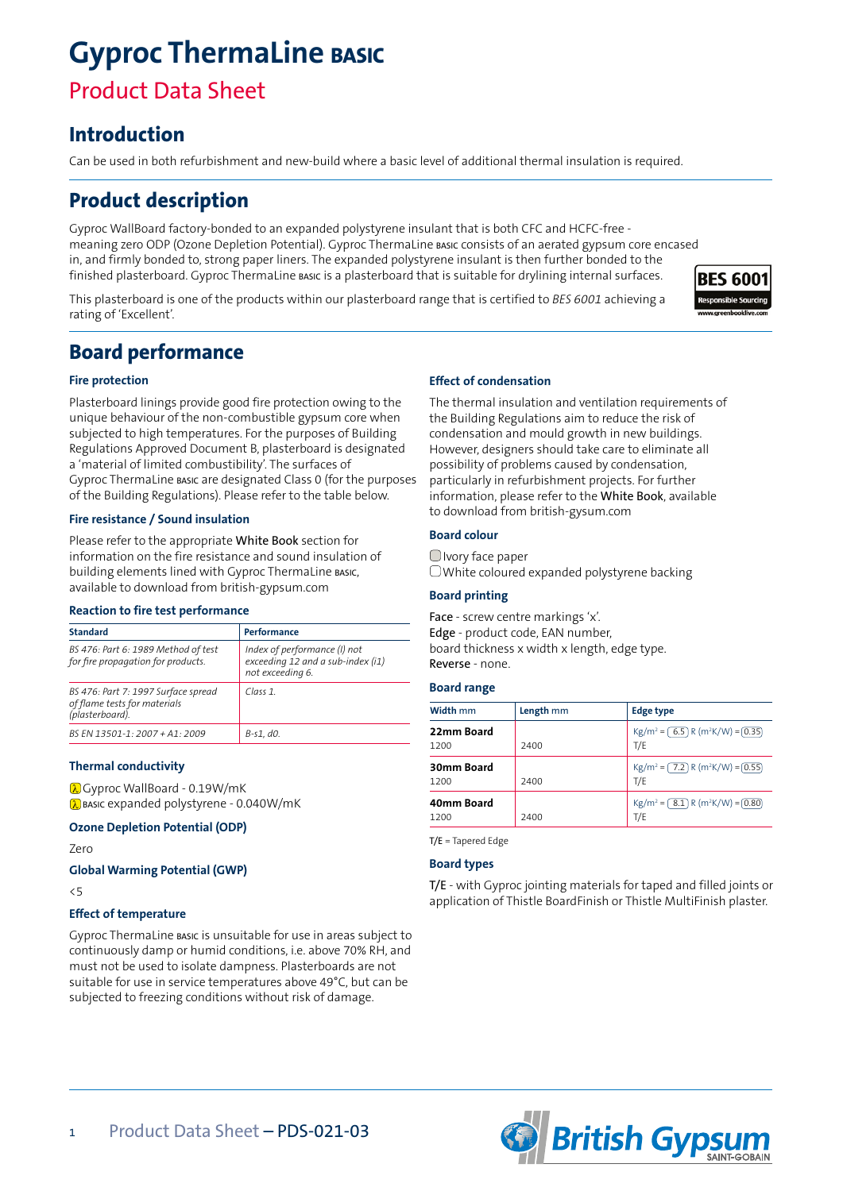# **Gyproc ThermaLine basic**

# Product Data Sheet

# **Introduction**

Can be used in both refurbishment and new-build where a basic level of additional thermal insulation is required.

# **Product description**

Gyproc WallBoard factory-bonded to an expanded polystyrene insulant that is both CFC and HCFC-free meaning zero ODP (Ozone Depletion Potential). Gyproc ThermaLine basic consists of an aerated gypsum core encased in, and firmly bonded to, strong paper liners. The expanded polystyrene insulant is then further bonded to the finished plasterboard. Gyproc ThermaLine basic is a plasterboard that is suitable for drylining internal surfaces.

This plasterboard is one of the products within our plasterboard range that is certified to *BES 6001* achieving a rating of 'Excellent'.



# **Board performance**

#### **Fire protection**

Plasterboard linings provide good fire protection owing to the unique behaviour of the non-combustible gypsum core when subjected to high temperatures. For the purposes of Building Regulations Approved Document B, plasterboard is designated a 'material of limited combustibility'. The surfaces of Gyproc ThermaLine basic are designated Class 0 (for the purposes of the Building Regulations). Please refer to the table below.

#### **Fire resistance / Sound insulation**

Please refer to the appropriate White Book section for information on the fire resistance and sound insulation of building elements lined with Gyproc ThermaLine basic, available to download from british-gypsum.com

#### **Reaction to fire test performance**

| <b>Standard</b>                                                                        | Performance                                                                           |
|----------------------------------------------------------------------------------------|---------------------------------------------------------------------------------------|
| BS 476: Part 6: 1989 Method of test<br>for fire propagation for products.              | Index of performance (I) not<br>exceeding 12 and a sub-index (i1)<br>not exceeding 6. |
| BS 476: Part 7: 1997 Surface spread<br>of flame tests for materials<br>(plasterboard). | Class 1                                                                               |
| BS FN 13501-1: 2007 + A1: 2009                                                         | B-s1. d0.                                                                             |

#### **Thermal conductivity**

**a** Gyproc WallBoard - 0.19W/mK  $\lambda$  BASIC expanded polystyrene - 0.040W/mK

#### **Ozone Depletion Potential (ODP)**

Zero

**Global Warming Potential (GWP)**

<5

#### **Effect of temperature**

Gyproc ThermaLine basic is unsuitable for use in areas subject to continuously damp or humid conditions, i.e. above 70% RH, and must not be used to isolate dampness. Plasterboards are not suitable for use in service temperatures above 49°C, but can be subjected to freezing conditions without risk of damage.

#### **Effect of condensation**

The thermal insulation and ventilation requirements of the Building Regulations aim to reduce the risk of condensation and mould growth in new buildings. However, designers should take care to eliminate all possibility of problems caused by condensation, particularly in refurbishment projects. For further information, please refer to the White Book, available to download from british-gysum.com

#### **Board colour**

Ivory face paper White coloured expanded polystyrene backing

#### **Board printing**

Face - screw centre markings 'x'. Edge - product code, EAN number, board thickness x width x length, edge type. Reverse - none.

#### **Board range**

| Width mm           | Length mm | <b>Edge type</b>                                                  |
|--------------------|-----------|-------------------------------------------------------------------|
| 22mm Board<br>1200 | 2400      | $\text{Kg/m}^2 = (6.5) \text{ R (m}^2\text{K/W}) = (0.35)$<br>T/E |
| 30mm Board<br>1200 | 2400      | $\text{Kg/m}^2 = (7.2) \text{ R (m}^2\text{K/W}) = (0.55)$<br>T/E |
| 40mm Board<br>1200 | 2400      | $\text{Kg/m}^2 = (8.1) \text{ R (m}^2\text{K/W}) = (0.80)$<br>T/E |

T/E = Tapered Edge

#### **Board types**

T/E - with Gyproc jointing materials for taped and filled joints or application of Thistle BoardFinish or Thistle MultiFinish plaster.

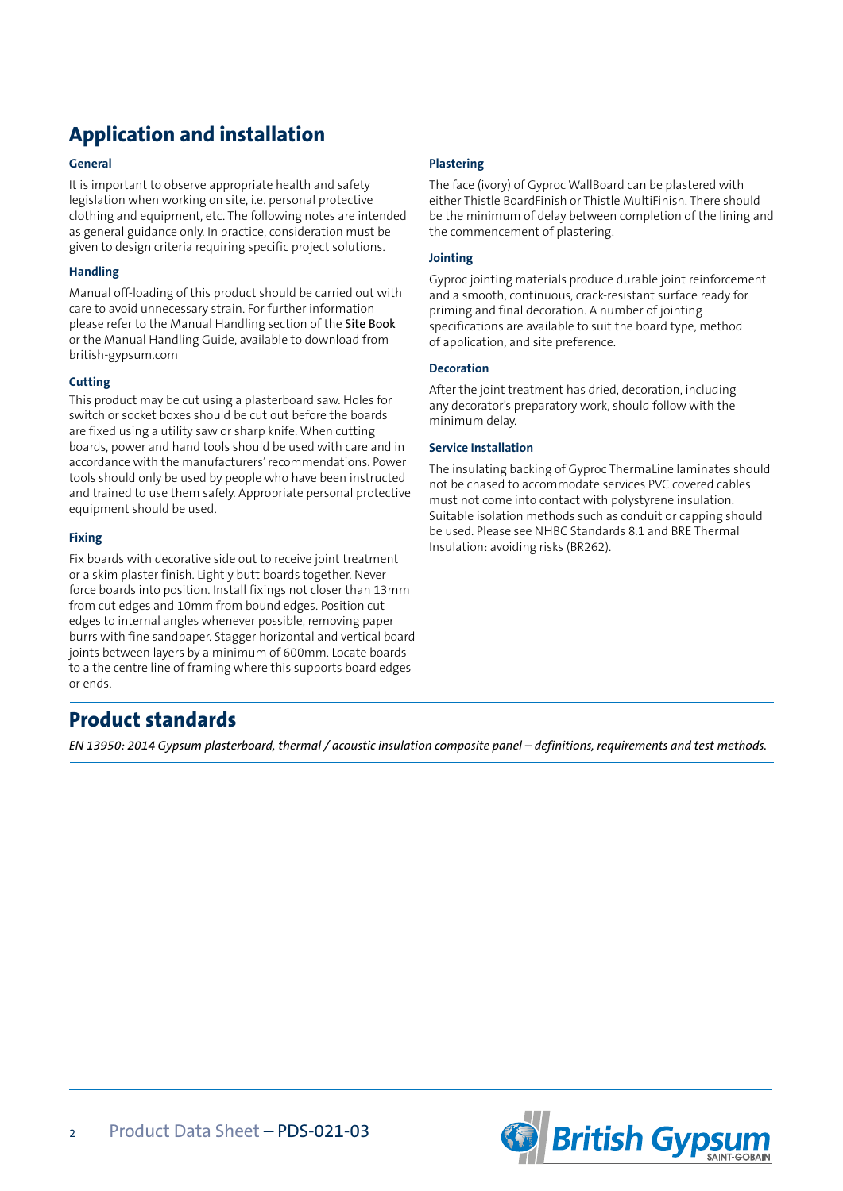# **Application and installation**

#### **General**

It is important to observe appropriate health and safety legislation when working on site, i.e. personal protective clothing and equipment, etc. The following notes are intended as general guidance only. In practice, consideration must be given to design criteria requiring specific project solutions.

#### **Handling**

Manual off-loading of this product should be carried out with care to avoid unnecessary strain. For further information please refer to the Manual Handling section of the Site Book or the Manual Handling Guide, available to download from british-gypsum.com

#### **Cutting**

This product may be cut using a plasterboard saw. Holes for switch or socket boxes should be cut out before the boards are fixed using a utility saw or sharp knife. When cutting boards, power and hand tools should be used with care and in accordance with the manufacturers' recommendations. Power tools should only be used by people who have been instructed and trained to use them safely. Appropriate personal protective equipment should be used.

#### **Fixing**

Fix boards with decorative side out to receive joint treatment or a skim plaster finish. Lightly butt boards together. Never force boards into position. Install fixings not closer than 13mm from cut edges and 10mm from bound edges. Position cut edges to internal angles whenever possible, removing paper burrs with fine sandpaper. Stagger horizontal and vertical board joints between layers by a minimum of 600mm. Locate boards to a the centre line of framing where this supports board edges or ends.

# **Plastering**

The face (ivory) of Gyproc WallBoard can be plastered with either Thistle BoardFinish or Thistle MultiFinish. There should be the minimum of delay between completion of the lining and the commencement of plastering.

#### **Jointing**

Gyproc jointing materials produce durable joint reinforcement and a smooth, continuous, crack-resistant surface ready for priming and final decoration. A number of jointing specifications are available to suit the board type, method of application, and site preference.

#### **Decoration**

After the joint treatment has dried, decoration, including any decorator's preparatory work, should follow with the minimum delay.

#### **Service Installation**

The insulating backing of Gyproc ThermaLine laminates should not be chased to accommodate services PVC covered cables must not come into contact with polystyrene insulation. Suitable isolation methods such as conduit or capping should be used. Please see NHBC Standards 8.1 and BRE Thermal Insulation: avoiding risks (BR262).

# **Product standards**

*EN 13950: 2014 Gypsum plasterboard, thermal / acoustic insulation composite panel – definitions, requirements and test methods.*